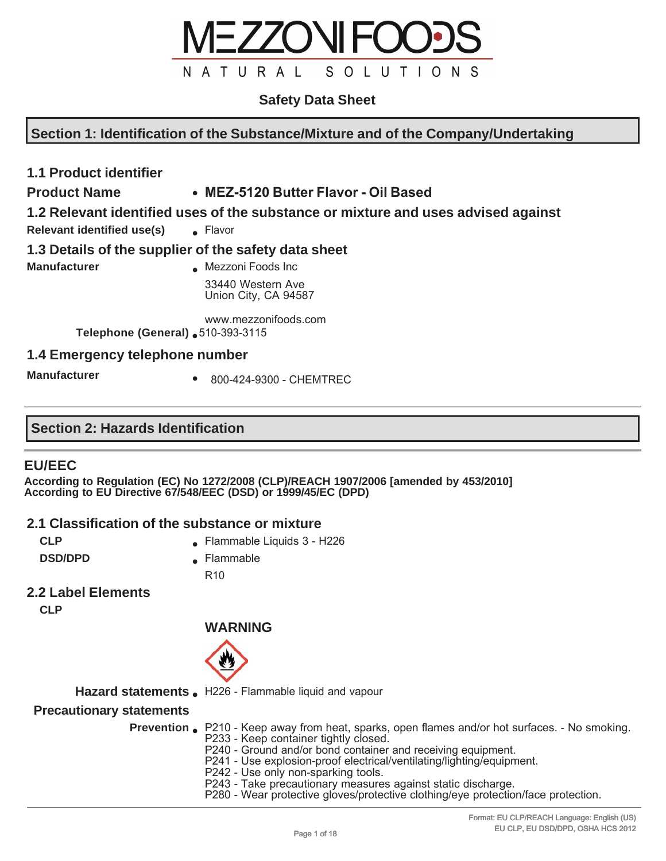

## **Safety Data Sheet**

**Section 1: Identification of the Substance/Mixture and of the Company/Undertaking**

## **1.1 Product identifier**

## **Product Name** ● **MEZ-5120 Butter Flavor - Oil Based**

## **1.2 Relevant identified uses of the substance or mixture and uses advised against**

**Relevant identified use(s)** • Flavor

#### **1.3 Details of the supplier of the safety data sheet**

**Manufacturer All Mezzoni Foods Inc.** 33440 Western Ave Union City, CA 94587

> www.mezzonifoods.com **Telephone (General)** ● 510-393-3115

## **1.4 Emergency telephone number**

**Manufacturer •** 800-424-9300 - CHEMTREC

## **Section 2: Hazards Identification**

## **EU/EEC**

**According to Regulation (EC) No 1272/2008 (CLP)/REACH 1907/2006 [amended by 453/2010] According to EU Directive 67/548/EEC (DSD) or 1999/45/EC (DPD)** 

#### **2.1 Classification of the substance or mixture**

- **CLP CLP Example Example Liquids 3 H226**
- 
- **DSD/DPD A** Flammable

R10

## **2.2 Label Elements**

**CLP**

## **WARNING**



Hazard statements . H226 - Flammable liquid and vapour

#### **Precautionary statements**

| <b>Prevention</b> P210 - Keep away from heat, sparks, open flames and/or hot surfaces. - No smoking. |
|------------------------------------------------------------------------------------------------------|
| P233 - Keep container tightly closed.                                                                |
| P240 - Ground and/or bond container and receiving equipment.                                         |
| P241 - Use explosion-proof electrical/ventilating/lighting/equipment.                                |
| P242 - Use only non-sparking tools.                                                                  |
| P243 - Take precautionary measures against static discharge.                                         |
| P280 - Wear protective gloves/protective clothing/eye protection/face protection.                    |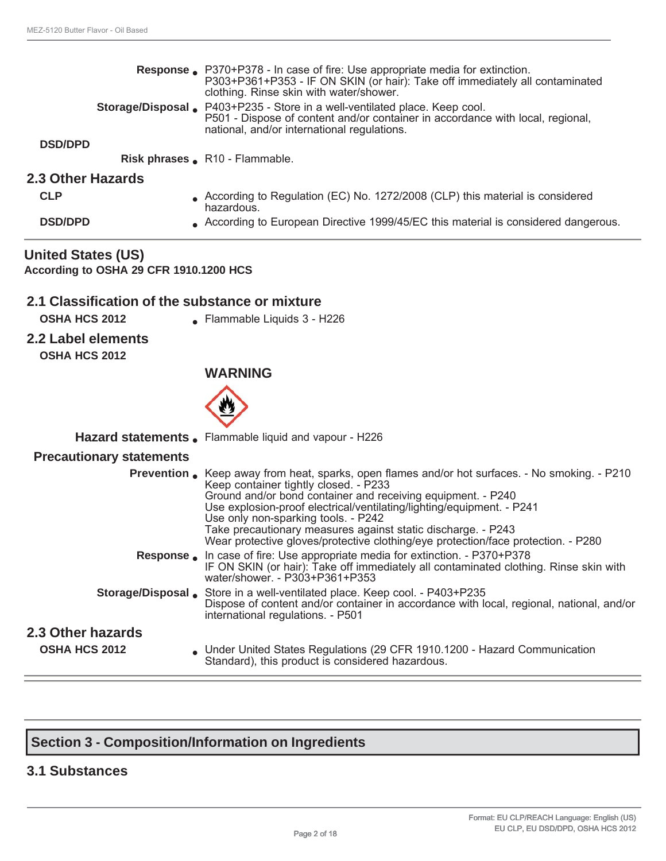|                   | <b>Response.</b> P370+P378 - In case of fire: Use appropriate media for extinction.<br>P303+P361+P353 - IF ON SKIN (or hair): Take off immediately all contaminated<br>clothing. Rinse skin with water/shower.<br><b>Storage/Disposal .</b> P403+P235 - Store in a well-ventilated place. Keep cool. |
|-------------------|------------------------------------------------------------------------------------------------------------------------------------------------------------------------------------------------------------------------------------------------------------------------------------------------------|
| <b>DSD/DPD</b>    | P501 - Dispose of content and/or container in accordance with local, regional,<br>national, and/or international regulations.                                                                                                                                                                        |
|                   | Risk phrases _ R <sub>10</sub> - Flammable.                                                                                                                                                                                                                                                          |
| 2.3 Other Hazards |                                                                                                                                                                                                                                                                                                      |
| <b>CLP</b>        | According to Regulation (EC) No. 1272/2008 (CLP) this material is considered<br>hazardous.                                                                                                                                                                                                           |
| <b>DSD/DPD</b>    | According to European Directive 1999/45/EC this material is considered dangerous.                                                                                                                                                                                                                    |

**United States (US) According to OSHA 29 CFR 1910.1200 HCS**

## **2.1 Classification of the substance or mixture**

- 
- **OSHA HCS 2012** Flammable Liquids 3 H226
- **2.2 Label elements OSHA HCS 2012**

## **WARNING**



Hazard statements . Flammable liquid and vapour - H226

#### **Precautionary statements**

|                                           | <b>Prevention.</b> Keep away from heat, sparks, open flames and/or hot surfaces. - No smoking. - P210<br>Keep container tightly closed. - P233<br>Ground and/or bond container and receiving equipment. - P240<br>Use explosion-proof electrical/ventilating/lighting/equipment. - P241<br>Use only non-sparking tools. - P242<br>Take precautionary measures against static discharge. - P243<br>Wear protective gloves/protective clothing/eye protection/face protection. - P280 |
|-------------------------------------------|-------------------------------------------------------------------------------------------------------------------------------------------------------------------------------------------------------------------------------------------------------------------------------------------------------------------------------------------------------------------------------------------------------------------------------------------------------------------------------------|
|                                           | <b>Response.</b> In case of fire: Use appropriate media for extinction. - P370+P378<br>IF ON SKIN (or hair): Take off immediately all contaminated clothing. Rinse skin with<br>water/shower. - P303+P361+P353                                                                                                                                                                                                                                                                      |
|                                           | <b>Storage/Disposal Store in a well-ventilated place. Keep cool. - P403+P235</b><br>Dispose of content and/or container in accordance with local, regional, national, and/or<br>international regulations. - P501                                                                                                                                                                                                                                                                   |
| 2.3 Other hazards<br><b>OSHA HCS 2012</b> | Under United States Regulations (29 CFR 1910.1200 - Hazard Communication<br>Standard), this product is considered hazardous.                                                                                                                                                                                                                                                                                                                                                        |

## **Section 3 - Composition/Information on Ingredients**

#### **3.1 Substances**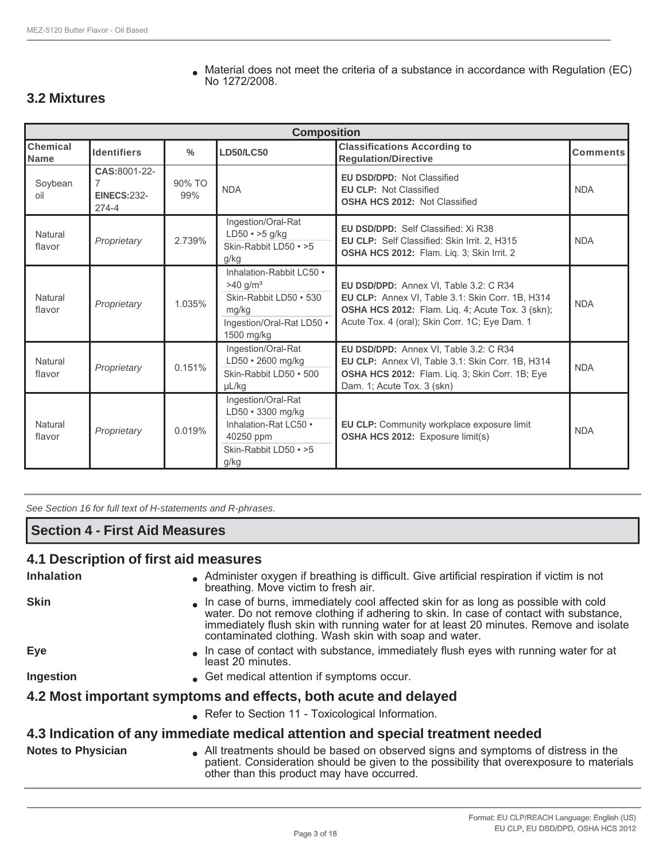**3.2 Mixtures**

Natural

|                         | <b>Composition</b>                              |               |                                                                                                                                  |                                                                                                                                                                                                         |                 |  |  |  |
|-------------------------|-------------------------------------------------|---------------|----------------------------------------------------------------------------------------------------------------------------------|---------------------------------------------------------------------------------------------------------------------------------------------------------------------------------------------------------|-----------------|--|--|--|
| <b>Chemical</b><br>Name | <b>Identifiers</b>                              |               | <b>LD50/LC50</b>                                                                                                                 | <b>Classifications According to</b><br><b>Regulation/Directive</b>                                                                                                                                      | <b>Comments</b> |  |  |  |
| Soybean<br>oil          | CAS:8001-22-<br><b>EINECS:232-</b><br>$274 - 4$ | 90% TO<br>99% | <b>NDA</b>                                                                                                                       | <b>EU DSD/DPD: Not Classified</b><br><b>EU CLP: Not Classified</b><br><b>OSHA HCS 2012: Not Classified</b>                                                                                              | <b>NDA</b>      |  |  |  |
| Natural<br>flavor       | Proprietary                                     | 2.739%        | Ingestion/Oral-Rat<br>$LD50 \cdot >5$ g/kg<br>Skin-Rabbit LD50 • >5<br>g/kg                                                      | <b>EU DSD/DPD: Self Classified: Xi R38</b><br>EU CLP: Self Classified: Skin Irrit. 2, H315<br>OSHA HCS 2012: Flam. Liq. 3; Skin Irrit. 2                                                                | <b>NDA</b>      |  |  |  |
| Natural<br>flavor       | Proprietary                                     | 1.035%        | Inhalation-Rabbit LC50 •<br>$>40$ g/m <sup>3</sup><br>Skin-Rabbit LD50 • 530<br>mg/kg<br>Ingestion/Oral-Rat LD50 .<br>1500 mg/kg | EU DSD/DPD: Annex VI, Table 3.2: C R34<br>EU CLP: Annex VI, Table 3.1: Skin Corr. 1B, H314<br><b>OSHA HCS 2012:</b> Flam. Lig. 4; Acute Tox. 3 (skn);<br>Acute Tox. 4 (oral); Skin Corr. 1C; Eye Dam. 1 | <b>NDA</b>      |  |  |  |
| Natural<br>flavor       | Proprietary                                     | 0.151%        | Ingestion/Oral-Rat<br>LD50 · 2600 mg/kg<br>Skin-Rabbit LD50 • 500<br>$\mu$ L/kg                                                  | EU DSD/DPD: Annex VI, Table 3.2: C R34<br>EU CLP: Annex VI, Table 3.1: Skin Corr. 1B, H314<br>OSHA HCS 2012: Flam. Liq. 3; Skin Corr. 1B; Eye<br>Dam. 1; Acute Tox. 3 (skn)                             | <b>NDA</b>      |  |  |  |
|                         |                                                 |               | Ingestion/Oral-Rat                                                                                                               |                                                                                                                                                                                                         |                 |  |  |  |

No 1272/2008.

 $\bullet$  Material does not meet the criteria of a substance in accordance with Regulation (EC)

## **4.1 Description of first aid measures**

**Section 4 - First Aid Measures**

*See Section 16 for full text of H-statements and R-phrases.*

flavor *Proprietary* 0.019%

| <b>Inhalation</b>         | • Administer oxygen if breathing is difficult. Give artificial respiration if victim is not<br>breathing. Move victim to fresh air.                                                                                                                                                                                           |
|---------------------------|-------------------------------------------------------------------------------------------------------------------------------------------------------------------------------------------------------------------------------------------------------------------------------------------------------------------------------|
| <b>Skin</b>               | In case of burns, immediately cool affected skin for as long as possible with cold<br>water. Do not remove clothing if adhering to skin. In case of contact with substance,<br>immediately flush skin with running water for at least 20 minutes. Remove and isolate<br>contaminated clothing. Wash skin with soap and water. |
| <b>Eye</b>                | In case of contact with substance, immediately flush eyes with running water for at<br>least 20 minutes.                                                                                                                                                                                                                      |
| Ingestion                 | ■ Get medical attention if symptoms occur.                                                                                                                                                                                                                                                                                    |
|                           | 4.2 Most important symptoms and effects, both acute and delayed                                                                                                                                                                                                                                                               |
|                           | Refer to Section 11 - Toxicological Information.                                                                                                                                                                                                                                                                              |
|                           | 4.3 Indication of any immediate medical attention and special treatment needed                                                                                                                                                                                                                                                |
| <b>Notes to Physician</b> | All treatments should be based on observed signs and symptoms of distress in the                                                                                                                                                                                                                                              |

LD50 • 3300 mg/kg Inhalation-Rat LC50 •

Skin-Rabbit LD50 • >5

40250 ppm

g/kg

patient. Consideration should be given to the possibility that overexposure to materials other than this product may have occurred.

**EU CLP:** Community workplace exposure limit

**CORRECTE:** Community workplace exposure limit<br>**OSHA HCS 2012:** Exposure limit(s)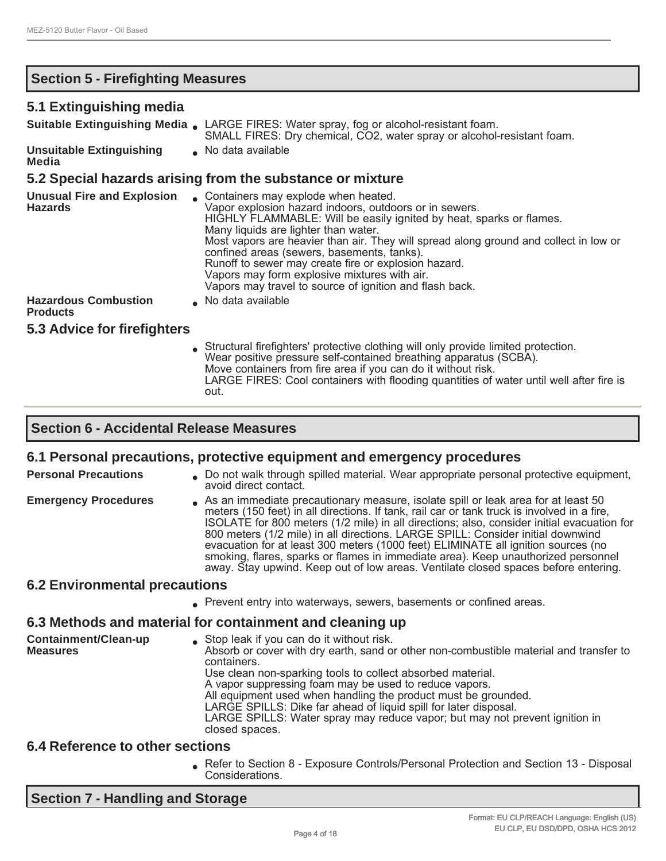## **Section 5 - Firefighting Measures**

#### **5.1 Extinguishing media**

| <u>u. Extinguioning incuid</u>                      |                                                                                                                                                                                                                                                                                                                                                                                                                                                                                                                          |
|-----------------------------------------------------|--------------------------------------------------------------------------------------------------------------------------------------------------------------------------------------------------------------------------------------------------------------------------------------------------------------------------------------------------------------------------------------------------------------------------------------------------------------------------------------------------------------------------|
|                                                     | <b>Suitable Extinguishing Media.</b> LARGE FIRES: Water spray, fog or alcohol-resistant foam.<br>SMALL FIRES: Dry chemical, CO2, water spray or alcohol-resistant foam.                                                                                                                                                                                                                                                                                                                                                  |
| <b>Unsuitable Extinguishing</b><br>Media            | No data available                                                                                                                                                                                                                                                                                                                                                                                                                                                                                                        |
|                                                     | 5.2 Special hazards arising from the substance or mixture                                                                                                                                                                                                                                                                                                                                                                                                                                                                |
| <b>Unusual Fire and Explosion</b><br><b>Hazards</b> | • Containers may explode when heated.<br>Vapor explosion hazard indoors, outdoors or in sewers.<br>HIGHLY FLAMMABLE: Will be easily ignited by heat, sparks or flames.<br>Many liquids are lighter than water.<br>Most vapors are heavier than air. They will spread along ground and collect in low or<br>confined areas (sewers, basements, tanks).<br>Runoff to sewer may create fire or explosion hazard.<br>Vapors may form explosive mixtures with air.<br>Vapors may travel to source of ignition and flash back. |
| <b>Hazardous Combustion</b><br><b>Products</b>      | No data available                                                                                                                                                                                                                                                                                                                                                                                                                                                                                                        |
| 5.3 Advice for firefighters                         |                                                                                                                                                                                                                                                                                                                                                                                                                                                                                                                          |
|                                                     | Structural firefighters' protective clothing will only provide limited protection.<br>Wear positive pressure self-contained breathing apparatus (SCBA).                                                                                                                                                                                                                                                                                                                                                                  |

## **Section 6 - Accidental Release Measures**

out.

#### **6.1 Personal precautions, protective equipment and emergency procedures**

closed spaces.

| <b>Personal Precautions</b>          | . Do not walk through spilled material. Wear appropriate personal protective equipment,<br>avoid direct contact.                                                                                                                                                                                                                                                                                                                                                                                                                                                                                                                  |
|--------------------------------------|-----------------------------------------------------------------------------------------------------------------------------------------------------------------------------------------------------------------------------------------------------------------------------------------------------------------------------------------------------------------------------------------------------------------------------------------------------------------------------------------------------------------------------------------------------------------------------------------------------------------------------------|
| <b>Emergency Procedures</b>          | As an immediate precautionary measure, isolate spill or leak area for at least 50<br>meters (150 feet) in all directions. If tank, rail car or tank truck is involved in a fire,<br>ISOLATE for 800 meters (1/2 mile) in all directions; also, consider initial evacuation for<br>800 meters (1/2 mile) in all directions. LARGE SPILL: Consider initial downwind<br>evacuation for at least 300 meters (1000 feet) ELIMINATE all ignition sources (no<br>smoking, flares, sparks or flames in immediate area). Keep unauthorized personnel<br>away. Stay upwind. Keep out of low areas. Ventilate closed spaces before entering. |
| <b>6.2 Environmental precautions</b> |                                                                                                                                                                                                                                                                                                                                                                                                                                                                                                                                                                                                                                   |
|                                      | • Prevent entry into waterways, sewers, basements or confined areas.                                                                                                                                                                                                                                                                                                                                                                                                                                                                                                                                                              |
|                                      | 6.3 Methods and material for containment and cleaning up                                                                                                                                                                                                                                                                                                                                                                                                                                                                                                                                                                          |
| Containment/Clean-up<br>Measures     | • Stop leak if you can do it without risk.<br>Absorb or cover with dry earth, sand or other non-combustible material and transfer to<br>containers.<br>Use clean non-sparking tools to collect absorbed material.<br>A vapor suppressing foam may be used to reduce vapors.<br>All equipment used when handling the product must be grounded.<br>LARGE SPILLS: Dike far ahead of liquid spill for later disposal.                                                                                                                                                                                                                 |

Move containers from fire area if you can do it without risk.

LARGE FIRES: Cool containers with flooding quantities of water until well after fire is

## **6.4 Reference to other sections**

● Refer to Section 8 - Exposure Controls/Personal Protection and Section 13 - Disposal Considerations.

LARGE SPILLS: Water spray may reduce vapor; but may not prevent ignition in

**Section 7 - Handling and Storage**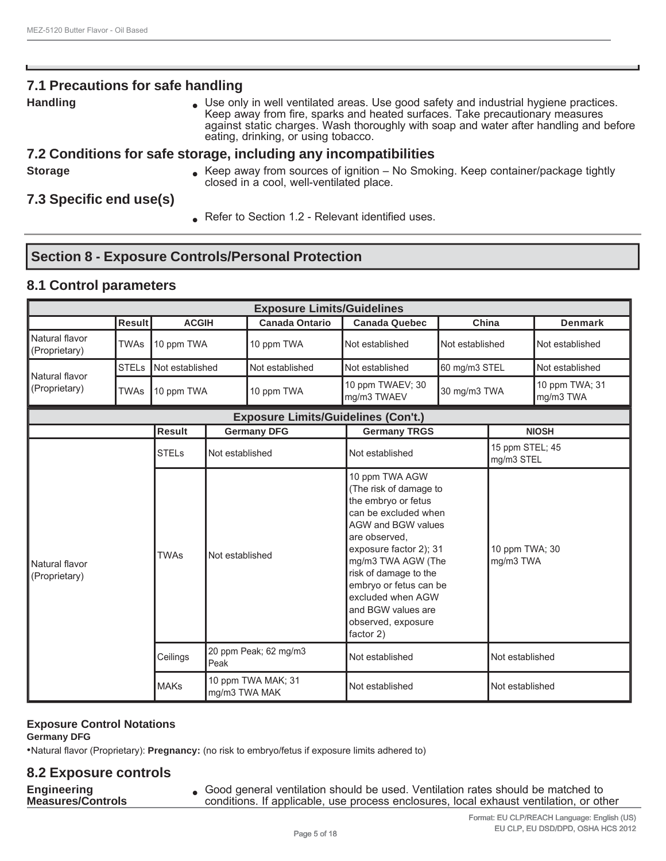## **7.1 Precautions for safe handling**

**Handling Example 20 Consets and Ventilated areas.** Use good safety and industrial hygiene practices. Keep away from fire, sparks and heated surfaces. Take precautionary measures against static charges. Wash thoroughly with soap and water after handling and before eating, drinking, or using tobacco.

#### **7.2 Conditions for safe storage, including any incompatibilities**

**Storage Example 20 Keep away from sources of ignition – No Smoking. Keep container/package tightly** closed in a cool, well-ventilated place.

## **7.3 Specific end use(s)**

Befer to Section 1.2 - Relevant identified uses.

## **Section 8 - Exposure Controls/Personal Protection**

## **8.1 Control parameters**

| <b>Exposure Limits/Guidelines</b> |               |                                 |                                     |                                            |                                                                                                                                                                                                                                                                                                                        |                 |                               |                             |
|-----------------------------------|---------------|---------------------------------|-------------------------------------|--------------------------------------------|------------------------------------------------------------------------------------------------------------------------------------------------------------------------------------------------------------------------------------------------------------------------------------------------------------------------|-----------------|-------------------------------|-----------------------------|
|                                   | <b>Result</b> | <b>ACGIH</b>                    |                                     | <b>Canada Ontario</b>                      | <b>Canada Quebec</b>                                                                                                                                                                                                                                                                                                   | China           |                               | <b>Denmark</b>              |
| Natural flavor<br>(Proprietary)   | <b>TWAs</b>   | 10 ppm TWA                      |                                     | 10 ppm TWA                                 | Not established                                                                                                                                                                                                                                                                                                        | Not established |                               | Not established             |
| Natural flavor                    | <b>STELs</b>  | Not established                 |                                     | Not established                            | Not established                                                                                                                                                                                                                                                                                                        | 60 mg/m3 STEL   |                               | Not established             |
| (Proprietary)                     | <b>TWAs</b>   | 10 ppm TWA                      |                                     | 10 ppm TWA                                 | 10 ppm TWAEV; 30<br>mg/m3 TWAEV                                                                                                                                                                                                                                                                                        | 30 mg/m3 TWA    |                               | 10 ppm TWA; 31<br>mg/m3 TWA |
|                                   |               |                                 |                                     | <b>Exposure Limits/Guidelines (Con't.)</b> |                                                                                                                                                                                                                                                                                                                        |                 |                               |                             |
|                                   |               | <b>Result</b>                   |                                     | <b>Germany DFG</b>                         | <b>Germany TRGS</b>                                                                                                                                                                                                                                                                                                    | <b>NIOSH</b>    |                               |                             |
|                                   |               | <b>STELs</b><br>Not established |                                     |                                            | Not established                                                                                                                                                                                                                                                                                                        |                 | 15 ppm STEL; 45<br>mg/m3 STEL |                             |
| Natural flavor<br>(Proprietary)   |               | <b>TWAs</b>                     | Not established                     |                                            | 10 ppm TWA AGW<br>(The risk of damage to<br>the embryo or fetus<br>can be excluded when<br><b>AGW and BGW values</b><br>are observed.<br>exposure factor 2); 31<br>mg/m3 TWA AGW (The<br>risk of damage to the<br>embryo or fetus can be<br>excluded when AGW<br>and BGW values are<br>observed, exposure<br>factor 2) |                 | 10 ppm TWA; 30<br>mg/m3 TWA   |                             |
|                                   |               | Ceilings                        | 20 ppm Peak; 62 mg/m3<br>Peak       |                                            | Not established                                                                                                                                                                                                                                                                                                        |                 | Not established               |                             |
|                                   |               | <b>MAKs</b>                     | 10 ppm TWA MAK; 31<br>mg/m3 TWA MAK |                                            | Not established                                                                                                                                                                                                                                                                                                        |                 | Not established               |                             |

#### **Exposure Control Notations**

**Germany DFG**

•Natural flavor (Proprietary): **Pregnancy:** (no risk to embryo/fetus if exposure limits adhered to)

#### **8.2 Exposure controls**

**Engineering**

**Engineering and Schood general ventilation should be used. Ventilation rates should be matched to <b>Measures/Controls**<br>**Measures/Controls because on the conditions.** If applicable, use process enclosures, local exhaust v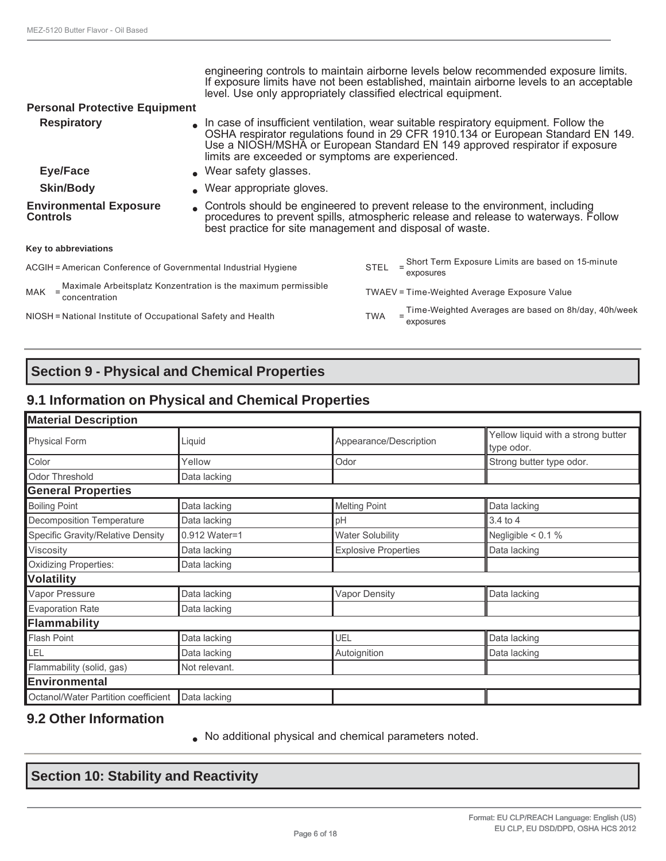| level. Use only appropriately classified electrical equipment.                                                                                                                                                                                                                         |                                                                                                                                                                   |  |  |  |
|----------------------------------------------------------------------------------------------------------------------------------------------------------------------------------------------------------------------------------------------------------------------------------------|-------------------------------------------------------------------------------------------------------------------------------------------------------------------|--|--|--|
| <b>Personal Protective Equipment</b>                                                                                                                                                                                                                                                   |                                                                                                                                                                   |  |  |  |
| In case of insufficient ventilation, wear suitable respiratory equipment. Follow the<br><b>Respiratory</b><br>limits are exceeded or symptoms are experienced.                                                                                                                         | OSHA respirator regulations found in 29 CFR 1910.134 or European Standard EN 149.<br>Use a NIOSH/MSHA or European Standard EN 149 approved respirator if exposure |  |  |  |
| <b>Eye/Face</b><br>• Wear safety glasses.                                                                                                                                                                                                                                              |                                                                                                                                                                   |  |  |  |
| <b>Skin/Body</b><br>• Wear appropriate gloves.                                                                                                                                                                                                                                         |                                                                                                                                                                   |  |  |  |
| • Controls should be engineered to prevent release to the environment, including<br><b>Environmental Exposure</b><br>procedures to prevent spills, atmospheric release and release to waterways. Follow<br><b>Controls</b><br>best practice for site management and disposal of waste. |                                                                                                                                                                   |  |  |  |
| Key to abbreviations                                                                                                                                                                                                                                                                   |                                                                                                                                                                   |  |  |  |
| $\leq$ Short Term Exposure Limits are based on 15-minute<br><b>STEL</b><br>ACGIH = American Conference of Governmental Industrial Hygiene<br>exposures                                                                                                                                 |                                                                                                                                                                   |  |  |  |
| MAK = Maximale Arbeitsplatz Konzentration is the maximum permissible<br>concentration<br>TWAEV = Time-Weighted Average Exposure Value                                                                                                                                                  |                                                                                                                                                                   |  |  |  |
| Time-Weighted Averages are based on 8h/day, 40h/week<br>NIOSH = National Institute of Occupational Safety and Health<br>TWA<br>exposures                                                                                                                                               |                                                                                                                                                                   |  |  |  |

## **Section 9 - Physical and Chemical Properties**

## **9.1 Information on Physical and Chemical Properties**

| <b>Material Description</b>         |               |                             |                                                  |  |
|-------------------------------------|---------------|-----------------------------|--------------------------------------------------|--|
| <b>Physical Form</b>                | Liquid        | Appearance/Description      | Yellow liquid with a strong butter<br>type odor. |  |
| Color                               | Yellow        | Odor                        | Strong butter type odor.                         |  |
| <b>Odor Threshold</b>               | Data lacking  |                             |                                                  |  |
| <b>General Properties</b>           |               |                             |                                                  |  |
| <b>Boiling Point</b>                | Data lacking  | <b>Melting Point</b>        | Data lacking                                     |  |
| Decomposition Temperature           | Data lacking  | pH                          | $3.4$ to $4$                                     |  |
| Specific Gravity/Relative Density   | 0.912 Water=1 | <b>Water Solubility</b>     | Negligible $< 0.1 \%$                            |  |
| Viscosity                           | Data lacking  | <b>Explosive Properties</b> | Data lacking                                     |  |
| <b>Oxidizing Properties:</b>        | Data lacking  |                             |                                                  |  |
| <b>Volatility</b>                   |               |                             |                                                  |  |
| Vapor Pressure                      | Data lacking  | <b>Vapor Density</b>        | Data lacking                                     |  |
| <b>Evaporation Rate</b>             | Data lacking  |                             |                                                  |  |
| Flammability                        |               |                             |                                                  |  |
| <b>Flash Point</b>                  | Data lacking  | UEL                         | Data lacking                                     |  |
| LEL                                 | Data lacking  | Autoignition                | Data lacking                                     |  |
| Flammability (solid, gas)           | Not relevant. |                             |                                                  |  |
| Environmental                       |               |                             |                                                  |  |
| Octanol/Water Partition coefficient | Data lacking  |                             |                                                  |  |

## **9.2 Other Information**

● No additional physical and chemical parameters noted.

## **Section 10: Stability and Reactivity**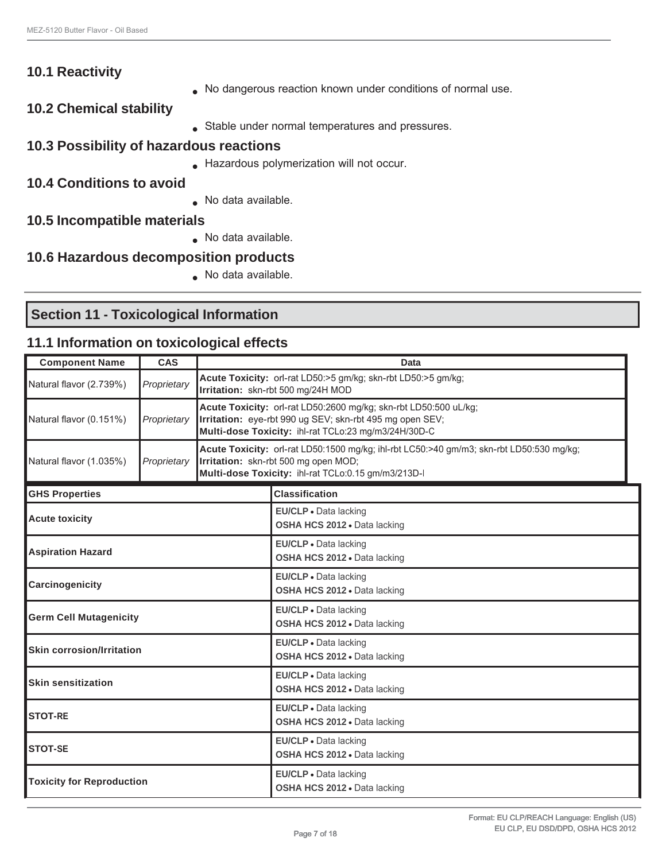| <b>10.1 Reactivity</b>                  |                                                             |
|-----------------------------------------|-------------------------------------------------------------|
|                                         | No dangerous reaction known under conditions of normal use. |
| <b>10.2 Chemical stability</b>          |                                                             |
|                                         | Stable under normal temperatures and pressures.             |
| 10.3 Possibility of hazardous reactions |                                                             |
|                                         | Hazardous polymerization will not occur.                    |
| <b>10.4 Conditions to avoid</b>         |                                                             |
|                                         | • No data available.                                        |
| 10.5 Incompatible materials             |                                                             |
|                                         | No data available.                                          |
| 10.6 Hazardous decomposition products   |                                                             |
|                                         | No data available.                                          |
|                                         |                                                             |

# **Section 11 - Toxicological Information**

## **11.1 Information on toxicological effects**

| <b>Component Name</b>            | <b>CAS</b>  | Data                                                                                                                                                                                 |                                                                                                                                                                                         |  |
|----------------------------------|-------------|--------------------------------------------------------------------------------------------------------------------------------------------------------------------------------------|-----------------------------------------------------------------------------------------------------------------------------------------------------------------------------------------|--|
| Natural flavor (2.739%)          | Proprietary | Acute Toxicity: orl-rat LD50:>5 gm/kg; skn-rbt LD50:>5 gm/kg;<br>Irritation: skn-rbt 500 mg/24H MOD                                                                                  |                                                                                                                                                                                         |  |
| Natural flavor (0.151%)          | Proprietary | Acute Toxicity: orl-rat LD50:2600 mg/kg; skn-rbt LD50:500 uL/kg;<br>Irritation: eye-rbt 990 ug SEV; skn-rbt 495 mg open SEV;<br>Multi-dose Toxicity: ihl-rat TCLo:23 mg/m3/24H/30D-C |                                                                                                                                                                                         |  |
| Natural flavor (1.035%)          | Proprietary |                                                                                                                                                                                      | Acute Toxicity: orl-rat LD50:1500 mg/kg; ihl-rbt LC50:>40 gm/m3; skn-rbt LD50:530 mg/kg;<br>Irritation: skn-rbt 500 mg open MOD;<br>Multi-dose Toxicity: ihl-rat TCLo:0.15 gm/m3/213D-I |  |
| <b>GHS Properties</b>            |             |                                                                                                                                                                                      | <b>Classification</b>                                                                                                                                                                   |  |
| <b>Acute toxicity</b>            |             |                                                                                                                                                                                      | EU/CLP · Data lacking<br>OSHA HCS 2012 . Data lacking                                                                                                                                   |  |
| <b>Aspiration Hazard</b>         |             |                                                                                                                                                                                      | EU/CLP • Data lacking<br>OSHA HCS 2012 . Data lacking                                                                                                                                   |  |
| Carcinogenicity                  |             |                                                                                                                                                                                      | EU/CLP · Data lacking<br>OSHA HCS 2012 . Data lacking                                                                                                                                   |  |
| <b>Germ Cell Mutagenicity</b>    |             |                                                                                                                                                                                      | EU/CLP . Data lacking<br>OSHA HCS 2012 . Data lacking                                                                                                                                   |  |
| <b>Skin corrosion/Irritation</b> |             |                                                                                                                                                                                      | EU/CLP . Data lacking<br>OSHA HCS 2012 . Data lacking                                                                                                                                   |  |
| <b>Skin sensitization</b>        |             |                                                                                                                                                                                      | EU/CLP · Data lacking<br>OSHA HCS 2012 . Data lacking                                                                                                                                   |  |
| <b>STOT-RE</b>                   |             |                                                                                                                                                                                      | EU/CLP . Data lacking<br>OSHA HCS 2012 . Data lacking                                                                                                                                   |  |
| <b>STOT-SE</b>                   |             |                                                                                                                                                                                      | EU/CLP · Data lacking<br>OSHA HCS 2012 . Data lacking                                                                                                                                   |  |
| <b>Toxicity for Reproduction</b> |             |                                                                                                                                                                                      | EU/CLP . Data lacking<br>OSHA HCS 2012 . Data lacking                                                                                                                                   |  |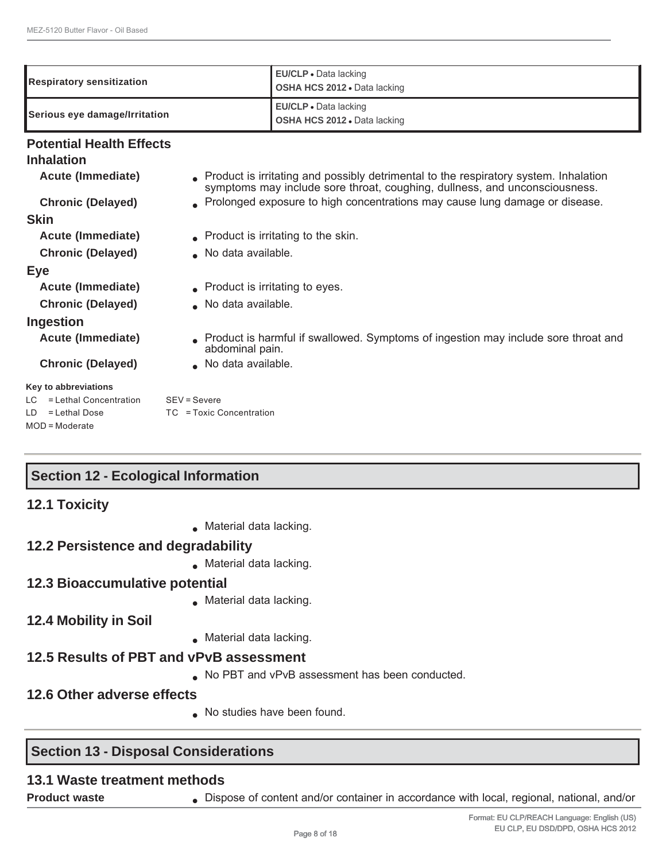| Respiratory sensitization                                                              | EU/CLP · Data lacking<br>OSHA HCS 2012 . Data lacking                                                                                                              |  |
|----------------------------------------------------------------------------------------|--------------------------------------------------------------------------------------------------------------------------------------------------------------------|--|
| EU/CLP · Data lacking<br>Serious eye damage/Irritation<br>OSHA HCS 2012 . Data lacking |                                                                                                                                                                    |  |
| <b>Potential Health Effects</b>                                                        |                                                                                                                                                                    |  |
| <b>Inhalation</b>                                                                      |                                                                                                                                                                    |  |
| <b>Acute (Immediate)</b>                                                               | Product is irritating and possibly detrimental to the respiratory system. Inhalation<br>symptoms may include sore throat, coughing, dullness, and unconsciousness. |  |
| <b>Chronic (Delayed)</b>                                                               | . Prolonged exposure to high concentrations may cause lung damage or disease.                                                                                      |  |
| <b>Skin</b>                                                                            |                                                                                                                                                                    |  |
| <b>Acute (Immediate)</b>                                                               | • Product is irritating to the skin.                                                                                                                               |  |
| <b>Chronic (Delayed)</b>                                                               | ▲ No data available.                                                                                                                                               |  |
| Eye                                                                                    |                                                                                                                                                                    |  |
| Acute (Immediate)                                                                      | $\bullet$ Product is irritating to eyes.                                                                                                                           |  |
| <b>Chronic (Delayed)</b>                                                               | No data available.                                                                                                                                                 |  |
| Ingestion                                                                              |                                                                                                                                                                    |  |
| <b>Acute (Immediate)</b>                                                               | Product is harmful if swallowed. Symptoms of ingestion may include sore throat and<br>abdominal pain.                                                              |  |
| <b>Chronic (Delayed)</b>                                                               | No data available.                                                                                                                                                 |  |
| Key to abbreviations                                                                   |                                                                                                                                                                    |  |
| = Lethal Concentration<br>LC.                                                          | $SEV =$ Severe                                                                                                                                                     |  |
| = Lethal Dose<br>LD.<br>$MOD = Model$                                                  | TC = Toxic Concentration                                                                                                                                           |  |

## **Section 12 - Ecological Information**

| <b>12.1 Toxicity</b> |
|----------------------|
|                      |

● Material data lacking.

## **12.2 Persistence and degradability**

● Material data lacking.

## **12.3 Bioaccumulative potential**

- Material data lacking.
- **12.4 Mobility in Soil**
- Material data lacking.

## **12.5 Results of PBT and vPvB assessment**

● No PBT and vPvB assessment has been conducted.

## **12.6 Other adverse effects**

● No studies have been found.

## **Section 13 - Disposal Considerations**

## **13.1 Waste treatment methods**

**Product waste • Dispose of content and/or container in accordance with local, regional, national, and/or**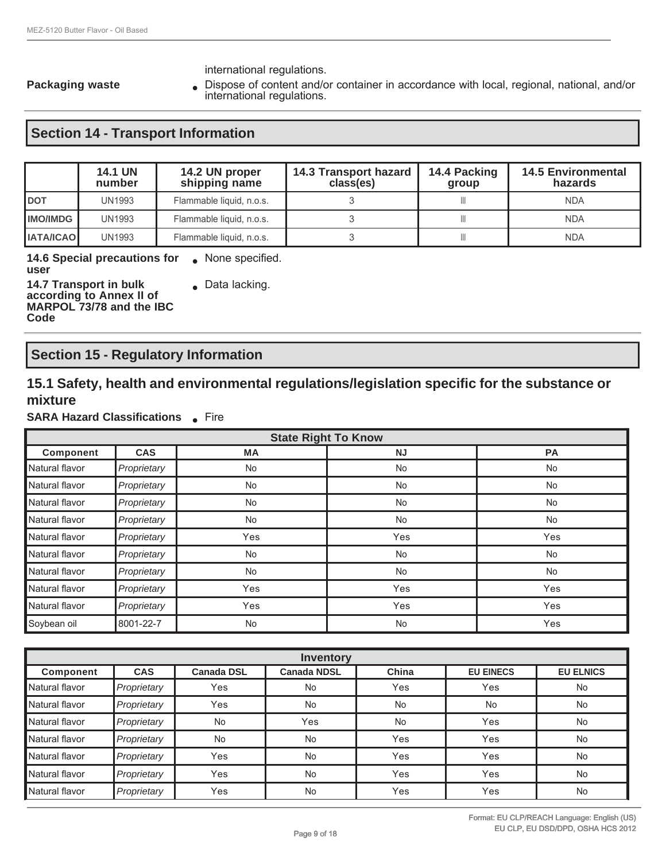international regulations.

Packaging waste **• Dispose of content and/or container in accordance with local, regional, national, and/or** international regulations.

## **Section 14 - Transport Information**

|                  | <b>14.1 UN</b><br>number | 14.2 UN proper<br>shipping name | 14.3 Transport hazard<br>class(es) | 14.4 Packing<br>group | <b>14.5 Environmental</b><br>hazards |
|------------------|--------------------------|---------------------------------|------------------------------------|-----------------------|--------------------------------------|
| <b>IDOT</b>      | UN1993                   | Flammable liquid, n.o.s.        |                                    |                       | <b>NDA</b>                           |
| <b>IIMO/IMDG</b> | <b>UN1993</b>            | Flammable liquid, n.o.s.        |                                    |                       | <b>NDA</b>                           |
| <b>IATA/ICAO</b> | <b>UN1993</b>            | Flammable liquid, n.o.s.        |                                    |                       | <b>NDA</b>                           |

**14.6 Special precautions for •** None specified.<br>**user** 

**14.7 Transport in bulk according to Annex II of MARPOL 73/78 and the IBC Code**

• Data lacking.

## **Section 15 - Regulatory Information**

## **15.1 Safety, health and environmental regulations/legislation specific for the substance or mixture**

#### **SARA Hazard Classifications** • Fire

| <b>State Right To Know</b> |             |           |           |           |
|----------------------------|-------------|-----------|-----------|-----------|
| <b>Component</b>           | <b>CAS</b>  | <b>MA</b> | <b>NJ</b> | <b>PA</b> |
| Natural flavor             | Proprietary | No        | <b>No</b> | <b>No</b> |
| Natural flavor             | Proprietary | <b>No</b> | <b>No</b> | <b>No</b> |
| Natural flavor             | Proprietary | No        | <b>No</b> | <b>No</b> |
| Natural flavor             | Proprietary | No        | <b>No</b> | No        |
| Natural flavor             | Proprietary | Yes       | Yes       | Yes       |
| Natural flavor             | Proprietary | <b>No</b> | <b>No</b> | No        |
| Natural flavor             | Proprietary | No        | <b>No</b> | <b>No</b> |
| Natural flavor             | Proprietary | Yes       | Yes       | Yes       |
| Natural flavor             | Proprietary | Yes       | Yes       | Yes       |
| Soybean oil                | 8001-22-7   | No        | <b>No</b> | Yes       |

| <b>Inventory</b> |             |                   |                    |           |                  |                  |
|------------------|-------------|-------------------|--------------------|-----------|------------------|------------------|
| Component        | <b>CAS</b>  | <b>Canada DSL</b> | <b>Canada NDSL</b> | China     | <b>EU EINECS</b> | <b>EU ELNICS</b> |
| Natural flavor   | Proprietary | Yes               | <b>No</b>          | Yes       | Yes              | No               |
| Natural flavor   | Proprietary | Yes               | <b>No</b>          | <b>No</b> | <b>No</b>        | No               |
| Natural flavor   | Proprietary | <b>No</b>         | Yes                | <b>No</b> | Yes              | No               |
| Natural flavor   | Proprietary | <b>No</b>         | No                 | Yes       | Yes              | No               |
| Natural flavor   | Proprietary | Yes               | <b>No</b>          | Yes       | Yes              | No               |
| Natural flavor   | Proprietary | Yes               | <b>No</b>          | Yes       | Yes              | No               |
| Natural flavor   | Proprietary | Yes               | No                 | Yes       | Yes              | No               |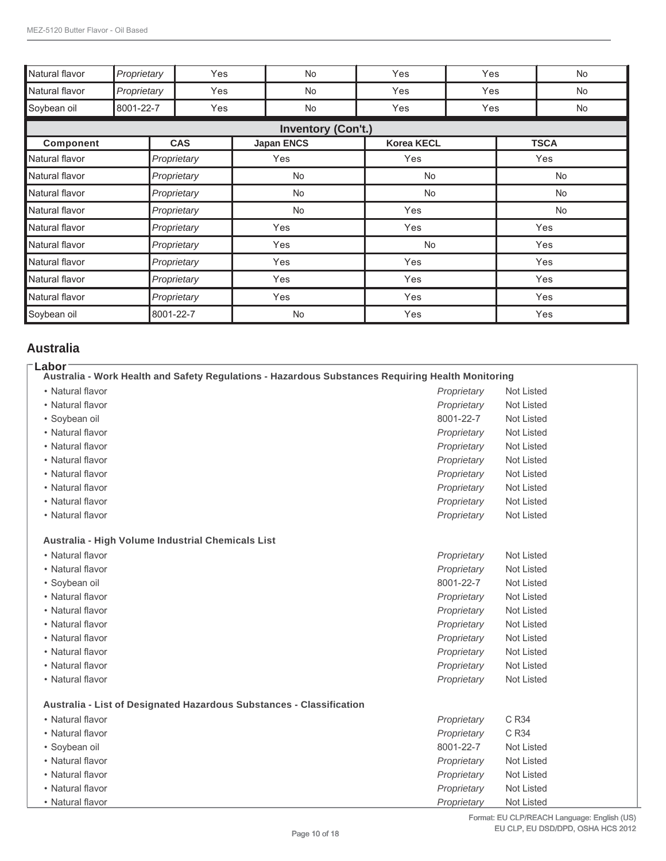| Natural flavor | Proprietary | Yes         | <b>No</b>                 | Yes               | Yes | No          |
|----------------|-------------|-------------|---------------------------|-------------------|-----|-------------|
| Natural flavor | Proprietary | Yes         | No                        | Yes               | Yes | No          |
| Soybean oil    | 8001-22-7   | Yes         | No                        | Yes               | Yes | No          |
|                |             |             | <b>Inventory (Con't.)</b> |                   |     |             |
| Component      |             | <b>CAS</b>  | <b>Japan ENCS</b>         | <b>Korea KECL</b> |     | <b>TSCA</b> |
| Natural flavor |             | Proprietary | Yes                       | Yes               |     | Yes         |
| Natural flavor |             | Proprietary | No                        | No                |     | <b>No</b>   |
| Natural flavor |             | Proprietary | No                        | No                |     | No          |
| Natural flavor |             | Proprietary | <b>No</b>                 | Yes               |     | No          |
| Natural flavor |             | Proprietary | Yes                       | Yes               |     | Yes         |
| Natural flavor |             | Proprietary | Yes                       | <b>No</b>         |     | Yes         |
| Natural flavor |             | Proprietary | Yes                       | Yes               |     | Yes         |
| Natural flavor |             | Proprietary | Yes                       | Yes               |     | Yes         |
| Natural flavor |             | Proprietary | Yes                       | Yes               |     | Yes         |
| Soybean oil    |             | 8001-22-7   | No                        | Yes               |     | Yes         |

#### **Australia**

| Labor<br>Australia - Work Health and Safety Regulations - Hazardous Substances Requiring Health Monitoring |             |            |
|------------------------------------------------------------------------------------------------------------|-------------|------------|
| • Natural flavor                                                                                           | Proprietary | Not Listed |
| • Natural flavor                                                                                           | Proprietary | Not Listed |
| · Soybean oil                                                                                              | 8001-22-7   | Not Listed |
| • Natural flavor                                                                                           | Proprietary | Not Listed |
| • Natural flavor                                                                                           | Proprietary | Not Listed |
| • Natural flavor                                                                                           | Proprietary | Not Listed |
| • Natural flavor                                                                                           | Proprietary | Not Listed |
| • Natural flavor                                                                                           | Proprietary | Not Listed |
| • Natural flavor                                                                                           | Proprietary | Not Listed |
| • Natural flavor                                                                                           | Proprietary | Not Listed |
| Australia - High Volume Industrial Chemicals List                                                          |             |            |
| • Natural flavor                                                                                           | Proprietary | Not Listed |
| • Natural flavor                                                                                           | Proprietary | Not Listed |
| · Soybean oil                                                                                              | 8001-22-7   | Not Listed |
| • Natural flavor                                                                                           | Proprietary | Not Listed |
| • Natural flavor                                                                                           | Proprietary | Not Listed |
| • Natural flavor                                                                                           | Proprietary | Not Listed |
| • Natural flavor                                                                                           | Proprietary | Not Listed |
| • Natural flavor                                                                                           | Proprietary | Not Listed |
| • Natural flavor                                                                                           | Proprietary | Not Listed |
| • Natural flavor                                                                                           | Proprietary | Not Listed |
| Australia - List of Designated Hazardous Substances - Classification                                       |             |            |
| • Natural flavor                                                                                           | Proprietary | C R34      |
| • Natural flavor                                                                                           | Proprietary | C R34      |
| • Soybean oil                                                                                              | 8001-22-7   | Not Listed |
| • Natural flavor                                                                                           | Proprietary | Not Listed |
| • Natural flavor                                                                                           | Proprietary | Not Listed |
| • Natural flavor                                                                                           | Proprietary | Not Listed |
| • Natural flavor                                                                                           | Proprietary | Not Listed |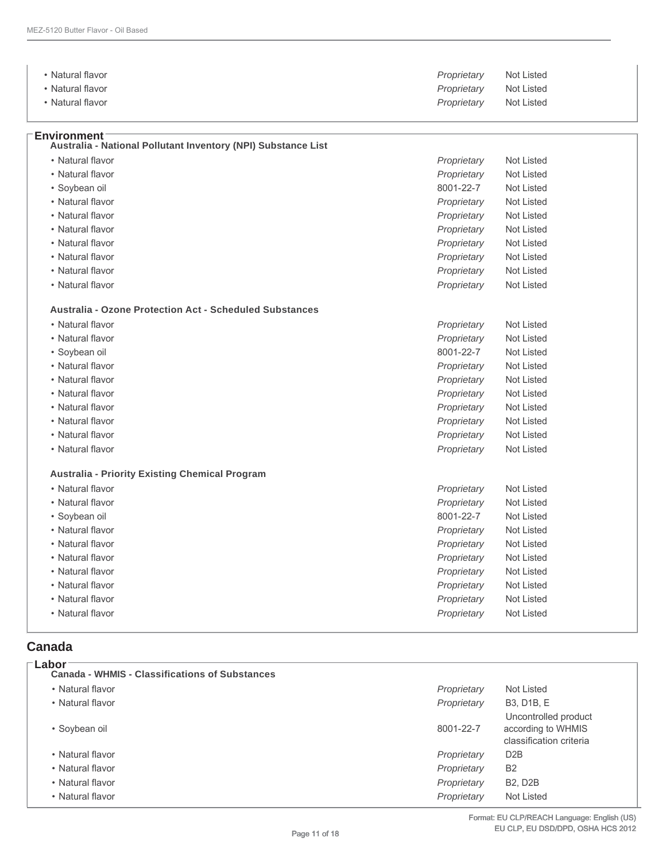| • Natural flavor                                                                      | Proprietary | Not Listed |  |
|---------------------------------------------------------------------------------------|-------------|------------|--|
| • Natural flavor                                                                      | Proprietary | Not Listed |  |
| • Natural flavor                                                                      | Proprietary | Not Listed |  |
| <b>Environment</b> ⊺<br>Australia - National Pollutant Inventory (NPI) Substance List |             |            |  |
| • Natural flavor                                                                      | Proprietary | Not Listed |  |
| • Natural flavor                                                                      | Proprietary | Not Listed |  |
| • Soybean oil                                                                         | 8001-22-7   | Not Listed |  |

- 
- Natural flavor *Proprietary* Not Listed
- Natural flavor *Proprietary* Not Listed
- Natural flavor *Proprietary* Not Listed
- Natural flavor *Proprietary* Not Listed
- Natural flavor *Proprietary* Not Listed • Natural flavor *Proprietary* Not Listed
- 
- Natural flavor *Proprietary* Not Listed

#### **Australia - Ozone Protection Act - Scheduled Substances**

| • Natural flavor                                      | Proprietary | Not Listed |  |
|-------------------------------------------------------|-------------|------------|--|
| • Natural flavor                                      | Proprietary | Not Listed |  |
| • Soybean oil                                         | 8001-22-7   | Not Listed |  |
| • Natural flavor                                      | Proprietary | Not Listed |  |
| • Natural flavor                                      | Proprietary | Not Listed |  |
| • Natural flavor                                      | Proprietary | Not Listed |  |
| • Natural flavor                                      | Proprietary | Not Listed |  |
| • Natural flavor                                      | Proprietary | Not Listed |  |
| • Natural flavor                                      | Proprietary | Not Listed |  |
| • Natural flavor                                      | Proprietary | Not Listed |  |
| <b>Australia - Priority Existing Chemical Program</b> |             |            |  |
| • Natural flavor                                      | Proprietary | Not Listed |  |
| • Natural flavor                                      | Proprietary | Not Listed |  |
| • Sovbean oil                                         | 8001-22-7   | Not Listed |  |

- Natural flavor *Proprietary* Not Listed
- Natural flavor *Proprietary* Not Listed
- Natural flavor *Proprietary* Not Listed
- Natural flavor *Proprietary* Not Listed
- Natural flavor *Proprietary* Not Listed
- Natural flavor *Proprietary* Not Listed
- Natural flavor *Proprietary* Not Listed

#### **Canada**

**Labor**

| Lapor<br><b>Canada - WHMIS - Classifications of Substances</b> |             |                                                                       |
|----------------------------------------------------------------|-------------|-----------------------------------------------------------------------|
| • Natural flavor                                               | Proprietary | Not Listed                                                            |
| • Natural flavor                                               | Proprietary | <b>B3, D1B, E</b>                                                     |
| • Soybean oil                                                  | 8001-22-7   | Uncontrolled product<br>according to WHMIS<br>classification criteria |
| • Natural flavor                                               | Proprietary | D <sub>2</sub> B                                                      |
| • Natural flavor                                               | Proprietary | <b>B2</b>                                                             |
| • Natural flavor                                               | Proprietary | <b>B2, D2B</b>                                                        |
| • Natural flavor                                               | Proprietary | Not Listed                                                            |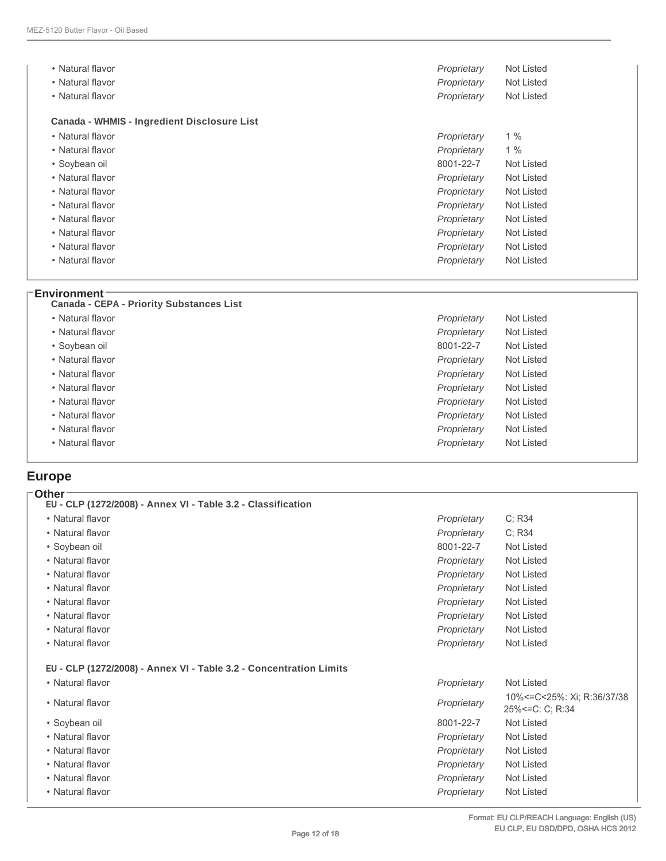| • Natural flavor                                   | Proprietary | Not Listed |
|----------------------------------------------------|-------------|------------|
| • Natural flavor                                   | Proprietary | Not Listed |
| • Natural flavor                                   | Proprietary | Not Listed |
| <b>Canada - WHMIS - Ingredient Disclosure List</b> |             |            |
| • Natural flavor                                   | Proprietary | 1%         |
| • Natural flavor                                   | Proprietary | 1%         |
| • Soybean oil                                      | 8001-22-7   | Not Listed |
| • Natural flavor                                   | Proprietary | Not Listed |
| • Natural flavor                                   | Proprietary | Not Listed |
| • Natural flavor                                   | Proprietary | Not Listed |
| • Natural flavor                                   | Proprietary | Not Listed |
| • Natural flavor                                   | Proprietary | Not Listed |
| • Natural flavor                                   | Proprietary | Not Listed |
| • Natural flavor                                   | Proprietary | Not Listed |
|                                                    |             |            |

#### **Environment**

| <b>Canada - CEPA - Priority Substances List</b> |             |            |
|-------------------------------------------------|-------------|------------|
| • Natural flavor                                | Proprietary | Not Listed |
| • Natural flavor                                | Proprietary | Not Listed |
| • Soybean oil                                   | 8001-22-7   | Not Listed |
| • Natural flavor                                | Proprietary | Not Listed |
| • Natural flavor                                | Proprietary | Not Listed |
| • Natural flavor                                | Proprietary | Not Listed |
| • Natural flavor                                | Proprietary | Not Listed |
| • Natural flavor                                | Proprietary | Not Listed |
| • Natural flavor                                | Proprietary | Not Listed |
| • Natural flavor                                | Proprietary | Not Listed |
|                                                 |             |            |

## **Europe**

| Other∶<br>EU - CLP (1272/2008) - Annex VI - Table 3.2 - Classification |             |                                                       |
|------------------------------------------------------------------------|-------------|-------------------------------------------------------|
| • Natural flavor                                                       | Proprietary | C; R34                                                |
| • Natural flavor                                                       | Proprietary | C: R34                                                |
| • Soybean oil                                                          | 8001-22-7   | Not Listed                                            |
| • Natural flavor                                                       | Proprietary | Not Listed                                            |
| • Natural flavor                                                       | Proprietary | Not Listed                                            |
| • Natural flavor                                                       | Proprietary | Not Listed                                            |
| • Natural flavor                                                       | Proprietary | Not Listed                                            |
| • Natural flavor                                                       | Proprietary | Not Listed                                            |
| • Natural flavor                                                       | Proprietary | Not Listed                                            |
| • Natural flavor                                                       | Proprietary | Not Listed                                            |
| EU - CLP (1272/2008) - Annex VI - Table 3.2 - Concentration Limits     |             |                                                       |
| • Natural flavor                                                       | Proprietary | Not Listed                                            |
| • Natural flavor                                                       | Proprietary | 10% <= C < 25%: Xi; R: 36/37/38<br>25% <= C: C; R: 34 |
| • Soybean oil                                                          | 8001-22-7   | Not Listed                                            |
| • Natural flavor                                                       | Proprietary | Not Listed                                            |
| • Natural flavor                                                       | Proprietary | Not Listed                                            |
| • Natural flavor                                                       | Proprietary | Not Listed                                            |
| • Natural flavor                                                       | Proprietary | Not Listed                                            |
| • Natural flavor                                                       | Proprietary | Not Listed                                            |
|                                                                        |             |                                                       |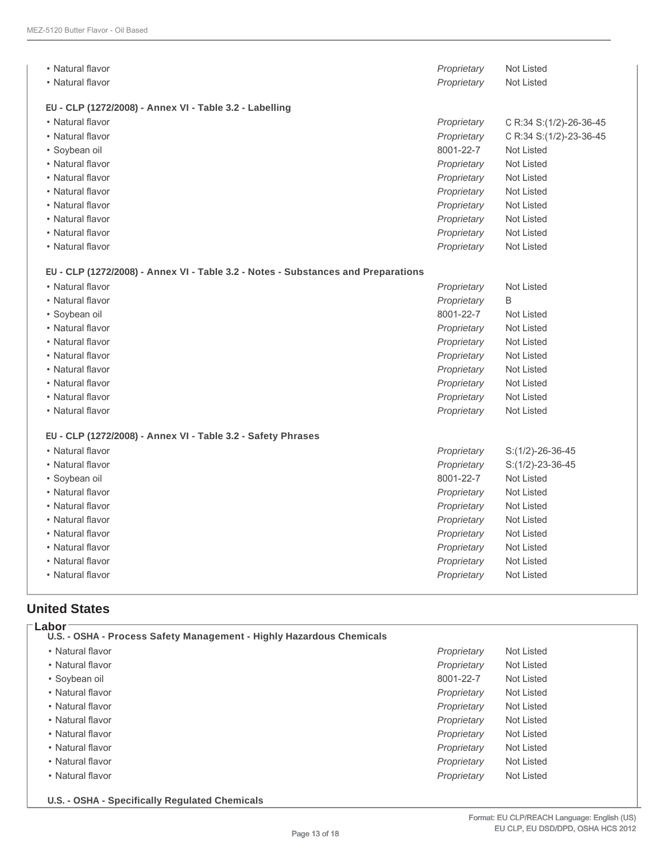| • Natural flavor                                                                  | Proprietary | Not Listed              |
|-----------------------------------------------------------------------------------|-------------|-------------------------|
| • Natural flavor                                                                  | Proprietary | <b>Not Listed</b>       |
| EU - CLP (1272/2008) - Annex VI - Table 3.2 - Labelling                           |             |                         |
| • Natural flavor                                                                  | Proprietary | C R:34 S:(1/2)-26-36-45 |
| • Natural flavor                                                                  | Proprietary | C R:34 S:(1/2)-23-36-45 |
| · Soybean oil                                                                     | 8001-22-7   | <b>Not Listed</b>       |
| • Natural flavor                                                                  | Proprietary | Not Listed              |
| • Natural flavor                                                                  | Proprietary | Not Listed              |
| • Natural flavor                                                                  | Proprietary | <b>Not Listed</b>       |
| • Natural flavor                                                                  | Proprietary | <b>Not Listed</b>       |
| • Natural flavor                                                                  | Proprietary | <b>Not Listed</b>       |
| • Natural flavor                                                                  | Proprietary | Not Listed              |
| • Natural flavor                                                                  | Proprietary | Not Listed              |
| EU - CLP (1272/2008) - Annex VI - Table 3.2 - Notes - Substances and Preparations |             |                         |
| • Natural flavor                                                                  | Proprietary | <b>Not Listed</b>       |
| • Natural flavor                                                                  | Proprietary | B                       |
| • Soybean oil                                                                     | 8001-22-7   | <b>Not Listed</b>       |
| • Natural flavor                                                                  | Proprietary | Not Listed              |
| • Natural flavor                                                                  | Proprietary | Not Listed              |
| • Natural flavor                                                                  | Proprietary | Not Listed              |
| • Natural flavor                                                                  | Proprietary | Not Listed              |
| • Natural flavor                                                                  | Proprietary | <b>Not Listed</b>       |
| • Natural flavor                                                                  | Proprietary | Not Listed              |
| • Natural flavor                                                                  | Proprietary | Not Listed              |
| EU - CLP (1272/2008) - Annex VI - Table 3.2 - Safety Phrases                      |             |                         |
| • Natural flavor                                                                  | Proprietary | $S:(1/2)-26-36-45$      |
| • Natural flavor                                                                  | Proprietary | $S:(1/2)-23-36-45$      |
| • Soybean oil                                                                     | 8001-22-7   | <b>Not Listed</b>       |
| • Natural flavor                                                                  | Proprietary | <b>Not Listed</b>       |
| • Natural flavor                                                                  | Proprietary | <b>Not Listed</b>       |
| • Natural flavor                                                                  | Proprietary | <b>Not Listed</b>       |
| • Natural flavor                                                                  | Proprietary | <b>Not Listed</b>       |
| • Natural flavor                                                                  | Proprietary | Not Listed              |
| • Natural flavor                                                                  | Proprietary | <b>Not Listed</b>       |
| • Natural flavor                                                                  | Proprietary | <b>Not Listed</b>       |

#### **United States**

| • Natural flavor | Proprietary | Not Listed |
|------------------|-------------|------------|
| • Natural flavor | Proprietary | Not Listed |
| • Soybean oil    | 8001-22-7   | Not Listed |
| • Natural flavor | Proprietary | Not Listed |
| • Natural flavor | Proprietary | Not Listed |
| • Natural flavor | Proprietary | Not Listed |
| • Natural flavor | Proprietary | Not Listed |
| • Natural flavor | Proprietary | Not Listed |
| • Natural flavor | Proprietary | Not Listed |
| • Natural flavor | Proprietary | Not Listed |

**U.S. - OSHA - Specifically Regulated Chemicals**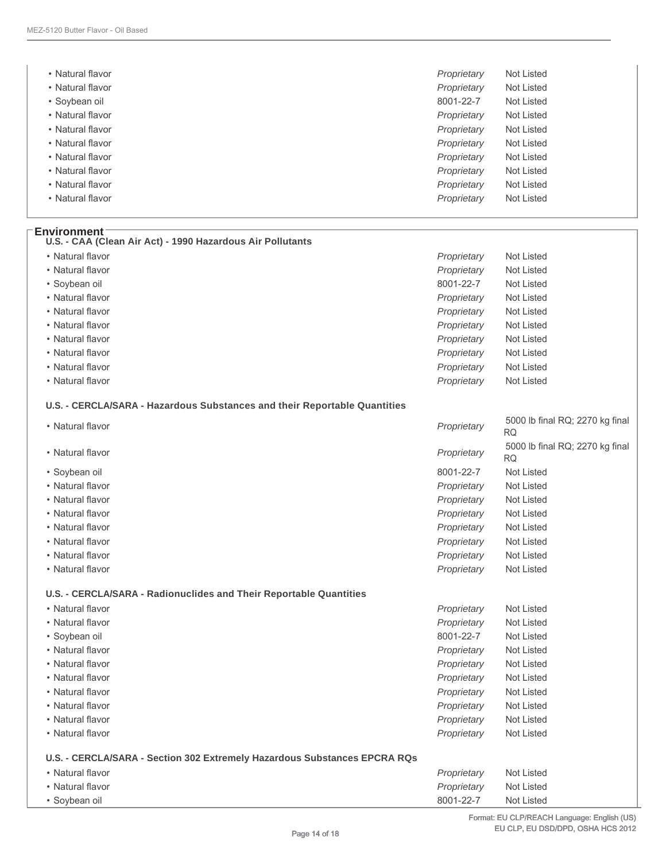| • Natural flavor | Proprietary<br>Not Listed |
|------------------|---------------------------|
| • Natural flavor | Proprietary<br>Not Listed |
| • Soybean oil    | 8001-22-7<br>Not Listed   |
| • Natural flavor | Proprietary<br>Not Listed |
| • Natural flavor | Proprietary<br>Not Listed |
| • Natural flavor | Proprietary<br>Not Listed |
| • Natural flavor | Proprietary<br>Not Listed |
| • Natural flavor | Proprietary<br>Not Listed |
| • Natural flavor | Proprietary<br>Not Listed |
| • Natural flavor | Proprietary<br>Not Listed |

| • Natural flavor | Proprietary | Not Listed |
|------------------|-------------|------------|
| • Natural flavor | Proprietary | Not Listed |
| • Soybean oil    | 8001-22-7   | Not Listed |
| • Natural flavor | Proprietary | Not Listed |
| • Natural flavor | Proprietary | Not Listed |
| • Natural flavor | Proprietary | Not Listed |
| • Natural flavor | Proprietary | Not Listed |
| • Natural flavor | Proprietary | Not Listed |
| • Natural flavor | Proprietary | Not Listed |
| • Natural flavor | Proprietary | Not Listed |

| • Natural flavor                                                          | Proprietary | 5000 lb final RQ; 2270 kg final<br><b>RQ</b> |
|---------------------------------------------------------------------------|-------------|----------------------------------------------|
| • Natural flavor                                                          | Proprietary | 5000 lb final RQ; 2270 kg final<br><b>RQ</b> |
| • Soybean oil                                                             | 8001-22-7   | <b>Not Listed</b>                            |
| • Natural flavor                                                          | Proprietary | Not Listed                                   |
| • Natural flavor                                                          | Proprietary | Not Listed                                   |
| • Natural flavor                                                          | Proprietary | Not Listed                                   |
| • Natural flavor                                                          | Proprietary | Not Listed                                   |
| • Natural flavor                                                          | Proprietary | Not Listed                                   |
| • Natural flavor                                                          | Proprietary | Not Listed                                   |
| • Natural flavor                                                          | Proprietary | Not Listed                                   |
| U.S. - CERCLA/SARA - Radionuclides and Their Reportable Quantities        |             |                                              |
| • Natural flavor                                                          | Proprietary | Not Listed                                   |
| • Natural flavor                                                          | Proprietary | <b>Not Listed</b>                            |
| • Soybean oil                                                             | 8001-22-7   | Not Listed                                   |
| • Natural flavor                                                          | Proprietary | Not Listed                                   |
| • Natural flavor                                                          | Proprietary | Not Listed                                   |
| • Natural flavor                                                          | Proprietary | Not Listed                                   |
| • Natural flavor                                                          | Proprietary | Not Listed                                   |
| • Natural flavor                                                          | Proprietary | Not Listed                                   |
| • Natural flavor                                                          | Proprietary | Not Listed                                   |
| • Natural flavor                                                          | Proprietary | Not Listed                                   |
| U.S. - CERCLA/SARA - Section 302 Extremely Hazardous Substances EPCRA RQs |             |                                              |
| • Natural flavor                                                          | Proprietary | Not Listed                                   |
| • Natural flavor                                                          | Proprietary | <b>Not Listed</b>                            |
| • Soybean oil                                                             | 8001-22-7   | Not Listed                                   |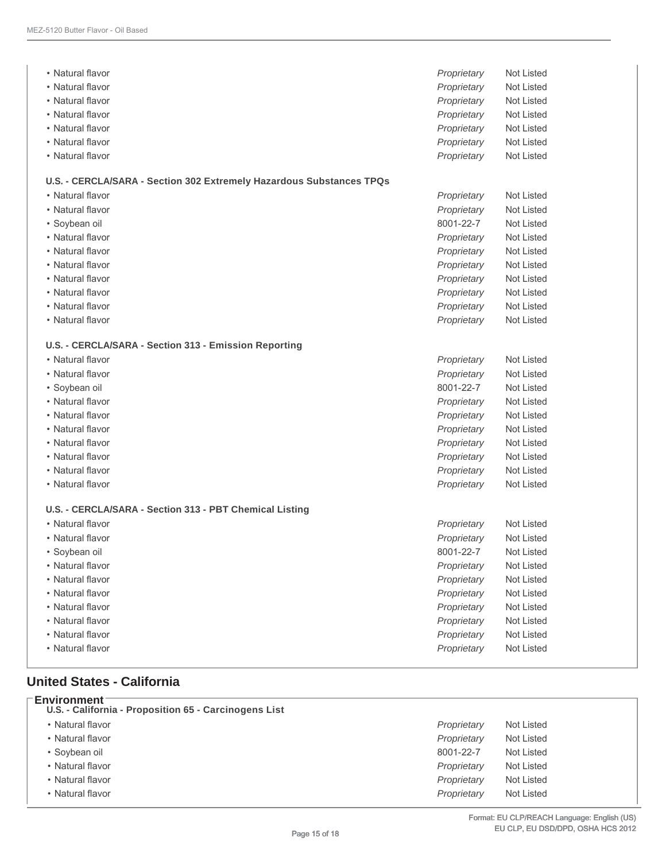| • Natural flavor                                                     | Proprietary | Not Listed        |
|----------------------------------------------------------------------|-------------|-------------------|
| • Natural flavor                                                     | Proprietary | Not Listed        |
| • Natural flavor                                                     | Proprietary | Not Listed        |
| • Natural flavor                                                     | Proprietary | Not Listed        |
| • Natural flavor                                                     | Proprietary | <b>Not Listed</b> |
| • Natural flavor                                                     | Proprietary | Not Listed        |
| • Natural flavor                                                     | Proprietary | Not Listed        |
|                                                                      |             |                   |
| U.S. - CERCLA/SARA - Section 302 Extremely Hazardous Substances TPQs |             |                   |
| • Natural flavor                                                     | Proprietary | <b>Not Listed</b> |
| • Natural flavor                                                     | Proprietary | Not Listed        |
| · Soybean oil                                                        | 8001-22-7   | Not Listed        |
| • Natural flavor                                                     | Proprietary | Not Listed        |
| • Natural flavor                                                     | Proprietary | Not Listed        |
| • Natural flavor                                                     | Proprietary | Not Listed        |
| • Natural flavor                                                     | Proprietary | Not Listed        |
| • Natural flavor                                                     | Proprietary | Not Listed        |
| • Natural flavor                                                     | Proprietary | Not Listed        |
| • Natural flavor                                                     | Proprietary | Not Listed        |
| U.S. - CERCLA/SARA - Section 313 - Emission Reporting                |             |                   |
| • Natural flavor                                                     | Proprietary | Not Listed        |
| • Natural flavor                                                     | Proprietary | Not Listed        |
| · Soybean oil                                                        | 8001-22-7   | <b>Not Listed</b> |
| • Natural flavor                                                     | Proprietary | Not Listed        |
| • Natural flavor                                                     | Proprietary | Not Listed        |
| • Natural flavor                                                     | Proprietary | Not Listed        |
| • Natural flavor                                                     | Proprietary | Not Listed        |
| • Natural flavor                                                     | Proprietary | Not Listed        |
| • Natural flavor                                                     | Proprietary | Not Listed        |
| • Natural flavor                                                     | Proprietary | Not Listed        |
|                                                                      |             |                   |
| U.S. - CERCLA/SARA - Section 313 - PBT Chemical Listing              |             |                   |
| • Natural flavor                                                     | Proprietary | Not Listed        |
| • Natural flavor                                                     | Proprietary | <b>Not Listed</b> |
| · Soybean oil                                                        | 8001-22-7   | Not Listed        |
| • Natural flavor                                                     | Proprietary | Not Listed        |
| • Natural flavor                                                     | Proprietary | Not Listed        |
| • Natural flavor                                                     | Proprietary | Not Listed        |
| • Natural flavor                                                     | Proprietary | Not Listed        |
| • Natural flavor                                                     | Proprietary | Not Listed        |
| • Natural flavor                                                     | Proprietary | Not Listed        |
| • Natural flavor                                                     | Proprietary | Not Listed        |
|                                                                      |             |                   |

#### **United States - California**

| <b>Environment</b><br>U.S. - California - Proposition 65 - Carcinogens List |             |            |
|-----------------------------------------------------------------------------|-------------|------------|
| • Natural flavor                                                            | Proprietary | Not Listed |
| • Natural flavor                                                            | Proprietary | Not Listed |
| • Soybean oil                                                               | 8001-22-7   | Not Listed |
| • Natural flavor                                                            | Proprietary | Not Listed |
| • Natural flavor                                                            | Proprietary | Not Listed |
| • Natural flavor                                                            | Proprietary | Not Listed |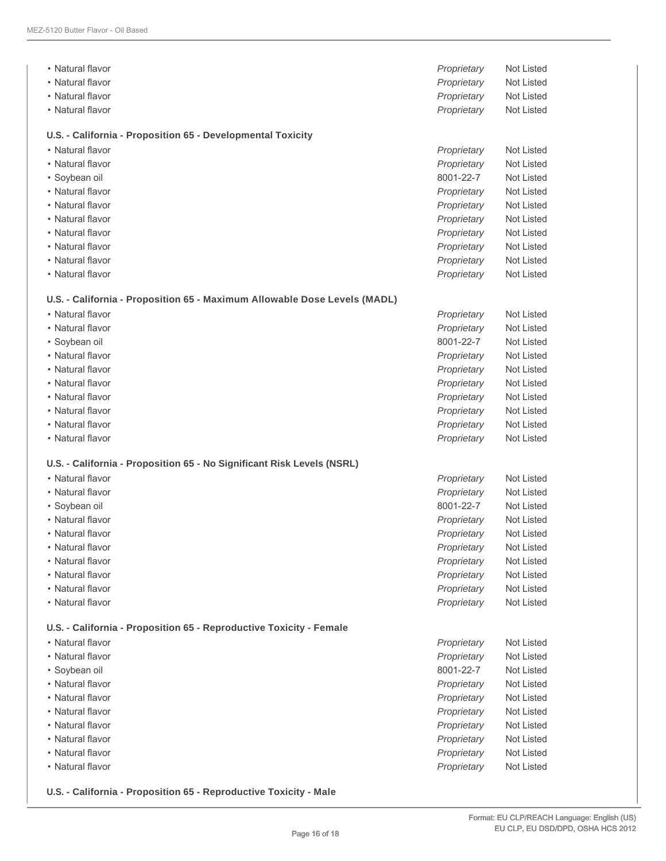| • Natural flavor                                                          | Proprietary | Not Listed        |
|---------------------------------------------------------------------------|-------------|-------------------|
| • Natural flavor                                                          | Proprietary | Not Listed        |
| • Natural flavor                                                          | Proprietary | Not Listed        |
| • Natural flavor                                                          | Proprietary | Not Listed        |
| U.S. - California - Proposition 65 - Developmental Toxicity               |             |                   |
| • Natural flavor                                                          | Proprietary | Not Listed        |
| • Natural flavor                                                          | Proprietary | Not Listed        |
| • Soybean oil                                                             | 8001-22-7   | Not Listed        |
| • Natural flavor                                                          | Proprietary | <b>Not Listed</b> |
| • Natural flavor                                                          | Proprietary | Not Listed        |
| • Natural flavor                                                          | Proprietary | Not Listed        |
| • Natural flavor                                                          | Proprietary | Not Listed        |
| • Natural flavor                                                          | Proprietary | Not Listed        |
| • Natural flavor                                                          | Proprietary | Not Listed        |
| • Natural flavor                                                          | Proprietary | Not Listed        |
| U.S. - California - Proposition 65 - Maximum Allowable Dose Levels (MADL) |             |                   |
| • Natural flavor                                                          | Proprietary | Not Listed        |
| • Natural flavor                                                          | Proprietary | Not Listed        |
| • Soybean oil                                                             | 8001-22-7   | Not Listed        |
| • Natural flavor                                                          | Proprietary | Not Listed        |
| • Natural flavor                                                          | Proprietary | Not Listed        |
| • Natural flavor                                                          | Proprietary | Not Listed        |
| • Natural flavor                                                          | Proprietary | Not Listed        |
| • Natural flavor                                                          | Proprietary | Not Listed        |
| • Natural flavor                                                          | Proprietary | Not Listed        |
| • Natural flavor                                                          | Proprietary | Not Listed        |
| U.S. - California - Proposition 65 - No Significant Risk Levels (NSRL)    |             |                   |
| • Natural flavor                                                          | Proprietary | <b>Not Listed</b> |
| • Natural flavor                                                          | Proprietary | Not Listed        |
| · Soybean oil                                                             | 8001-22-7   | Not Listed        |
| • Natural flavor                                                          | Proprietary | Not Listed        |
| • Natural flavor                                                          | Proprietary | Not Listed        |
| • Natural flavor                                                          | Proprietary | Not Listed        |
| • Natural flavor                                                          | Proprietary | Not Listed        |
| • Natural flavor                                                          | Proprietary | Not Listed        |
| • Natural flavor                                                          | Proprietary | Not Listed        |
| • Natural flavor                                                          | Proprietary | Not Listed        |
| U.S. - California - Proposition 65 - Reproductive Toxicity - Female       |             |                   |
| • Natural flavor                                                          | Proprietary | Not Listed        |
| • Natural flavor                                                          | Proprietary | Not Listed        |
| · Soybean oil                                                             | 8001-22-7   | Not Listed        |
| • Natural flavor                                                          | Proprietary | Not Listed        |
| • Natural flavor                                                          | Proprietary | Not Listed        |
| • Natural flavor                                                          | Proprietary | Not Listed        |
| • Natural flavor                                                          | Proprietary | Not Listed        |
| • Natural flavor                                                          | Proprietary | Not Listed        |
| • Natural flavor                                                          | Proprietary | Not Listed        |
| • Natural flavor                                                          | Proprietary | Not Listed        |
|                                                                           |             |                   |

**U.S. - California - Proposition 65 - Reproductive Toxicity - Male**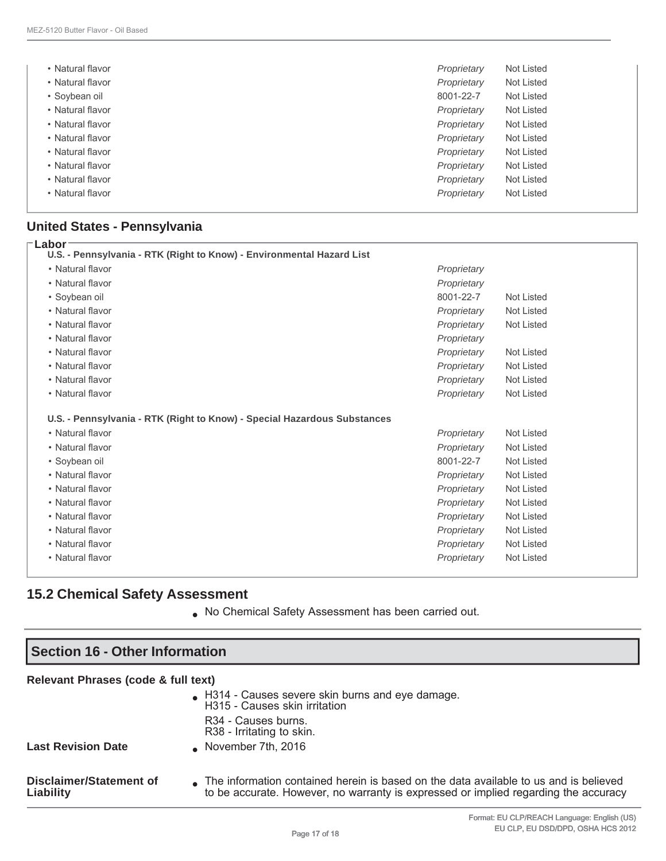| • Natural flavor | Proprietary | Not Listed |
|------------------|-------------|------------|
| • Natural flavor | Proprietary | Not Listed |
| • Soybean oil    | 8001-22-7   | Not Listed |
| • Natural flavor | Proprietary | Not Listed |
| • Natural flavor | Proprietary | Not Listed |
| • Natural flavor | Proprietary | Not Listed |
| • Natural flavor | Proprietary | Not Listed |
| • Natural flavor | Proprietary | Not Listed |
| • Natural flavor | Proprietary | Not Listed |
| • Natural flavor | Proprietary | Not Listed |

## **United States - Pennsylvania**

| Labor<br>U.S. - Pennsylvania - RTK (Right to Know) - Environmental Hazard List |             |            |
|--------------------------------------------------------------------------------|-------------|------------|
| • Natural flavor                                                               | Proprietary |            |
| • Natural flavor                                                               | Proprietary |            |
| • Soybean oil                                                                  | 8001-22-7   | Not Listed |
| • Natural flavor                                                               | Proprietary | Not Listed |
| • Natural flavor                                                               | Proprietary | Not Listed |
| • Natural flavor                                                               | Proprietary |            |
| • Natural flavor                                                               | Proprietary | Not Listed |
| • Natural flavor                                                               | Proprietary | Not Listed |
| • Natural flavor                                                               | Proprietary | Not Listed |
| • Natural flavor                                                               | Proprietary | Not Listed |
| U.S. - Pennsylvania - RTK (Right to Know) - Special Hazardous Substances       |             |            |
| • Natural flavor                                                               | Proprietary | Not Listed |
| • Natural flavor                                                               | Proprietary | Not Listed |
| • Soybean oil                                                                  | 8001-22-7   | Not Listed |
| • Natural flavor                                                               | Proprietary | Not Listed |
| • Natural flavor                                                               | Proprietary | Not Listed |
| • Natural flavor                                                               | Proprietary | Not Listed |
| • Natural flavor                                                               | Proprietary | Not Listed |
| • Natural flavor                                                               | Proprietary | Not Listed |
| • Natural flavor                                                               | Proprietary | Not Listed |
| • Natural flavor                                                               | Proprietary | Not Listed |

## **15.2 Chemical Safety Assessment**

● No Chemical Safety Assessment has been carried out.

| <b>Section 16 - Other Information</b> |                                                                                                                                                                              |  |
|---------------------------------------|------------------------------------------------------------------------------------------------------------------------------------------------------------------------------|--|
| Relevant Phrases (code & full text)   |                                                                                                                                                                              |  |
|                                       | H314 - Causes severe skin burns and eye damage.<br>H315 - Causes skin irritation<br>R <sub>34</sub> - Causes burns.<br>R38 - Irritating to skin.                             |  |
| <b>Last Revision Date</b>             | November 7th, $2016$                                                                                                                                                         |  |
| Disclaimer/Statement of<br>Liability  | The information contained herein is based on the data available to us and is believed<br>to be accurate. However, no warranty is expressed or implied regarding the accuracy |  |